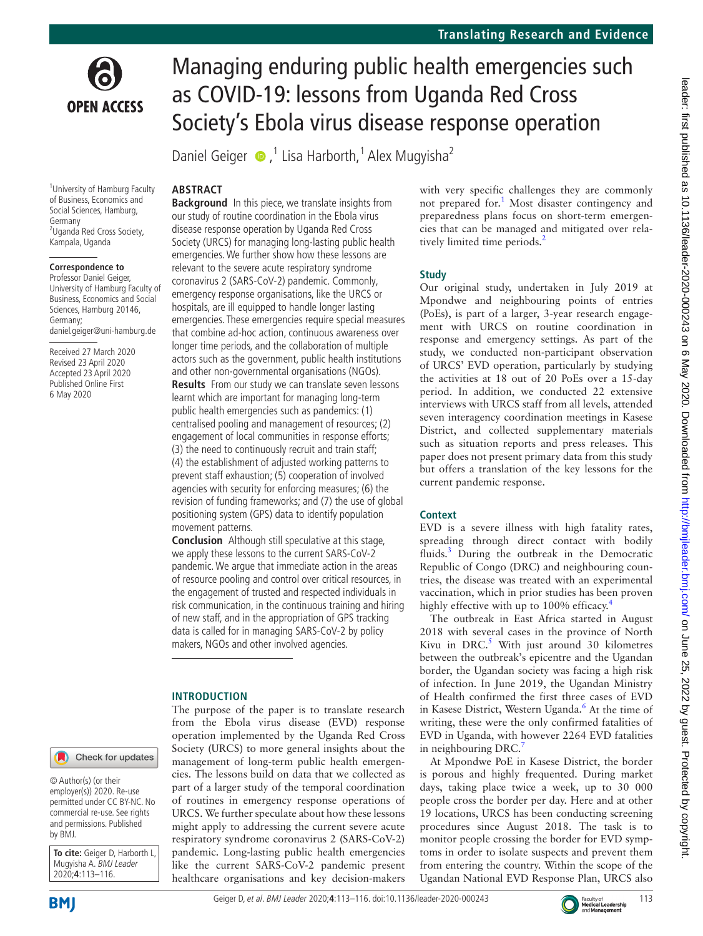

<sup>1</sup> University of Hamburg Faculty of Business, Economics and Social Sciences, Hamburg, Germany <sup>2</sup>Uganda Red Cross Society, Kampala, Uganda

#### **Correspondence to**

Professor Daniel Geiger, University of Hamburg Faculty of Business, Economics and Social Sciences, Hamburg 20146, Germany; daniel.geiger@uni-hamburg.de

Received 27 March 2020 Revised 23 April 2020 Accepted 23 April 2020 Published Online First 6 May 2020

#### Check for updates

© Author(s) (or their employer(s)) 2020. Re-use permitted under CC BY-NC. No commercial re-use. See rights and permissions. Published by BMJ.

**To cite:** Geiger D, Harborth L, Mugyisha A. BMJ Leader 2020;**4**:113–116.

**BMI** 

# Managing enduring public health emergencies such as COVID-19: lessons from Uganda Red Cross Society's Ebola virus disease response operation

Daniel Geiger  $\bullet$ ,<sup>1</sup> Lisa Harborth,<sup>1</sup> Alex Mugyisha<sup>2</sup>

#### **Abstract**

**Background** In this piece, we translate insights from our study of routine coordination in the Ebola virus disease response operation by Uganda Red Cross Society (URCS) for managing long-lasting public health emergencies. We further show how these lessons are relevant to the severe acute respiratory syndrome coronavirus 2 (SARS-CoV-2) pandemic. Commonly, emergency response organisations, like the URCS or hospitals, are ill equipped to handle longer lasting emergencies. These emergencies require special measures that combine ad-hoc action, continuous awareness over longer time periods, and the collaboration of multiple actors such as the government, public health institutions and other non-governmental organisations (NGOs). **Results** From our study we can translate seven lessons learnt which are important for managing long-term public health emergencies such as pandemics: (1) centralised pooling and management of resources; (2) engagement of local communities in response efforts; (3) the need to continuously recruit and train staff; (4) the establishment of adjusted working patterns to prevent staff exhaustion; (5) cooperation of involved agencies with security for enforcing measures; (6) the revision of funding frameworks; and (7) the use of global positioning system (GPS) data to identify population movement patterns.

**Conclusion** Although still speculative at this stage, we apply these lessons to the current SARS-CoV-2 pandemic. We argue that immediate action in the areas of resource pooling and control over critical resources, in the engagement of trusted and respected individuals in risk communication, in the continuous training and hiring of new staff, and in the appropriation of GPS tracking data is called for in managing SARS-CoV-2 by policy makers, NGOs and other involved agencies.

#### **Introduction**

The purpose of the paper is to translate research from the Ebola virus disease (EVD) response operation implemented by the Uganda Red Cross Society (URCS) to more general insights about the management of long-term public health emergencies. The lessons build on data that we collected as part of a larger study of the temporal coordination of routines in emergency response operations of URCS. We further speculate about how these lessons might apply to addressing the current severe acute respiratory syndrome coronavirus 2 (SARS-CoV-2) pandemic. Long-lasting public health emergencies like the current SARS-CoV-2 pandemic present healthcare organisations and key decision-makers

with very specific challenges they are commonly not prepared for.<sup>[1](#page-3-0)</sup> Most disaster contingency and preparedness plans focus on short-term emergencies that can be managed and mitigated over relatively limited time periods.<sup>2</sup>

#### **Study**

Our original study, undertaken in July 2019 at Mpondwe and neighbouring points of entries (PoEs), is part of a larger, 3-year research engagement with URCS on routine coordination in response and emergency settings. As part of the study, we conducted non-participant observation of URCS' EVD operation, particularly by studying the activities at 18 out of 20 PoEs over a 15-day period. In addition, we conducted 22 extensive interviews with URCS staff from all levels, attended seven interagency coordination meetings in Kasese District, and collected supplementary materials such as situation reports and press releases. This paper does not present primary data from this study but offers a translation of the key lessons for the current pandemic response.

#### **Context**

EVD is a severe illness with high fatality rates, spreading through direct contact with bodily fluids.<sup>3</sup> During the outbreak in the Democratic Republic of Congo (DRC) and neighbouring countries, the disease was treated with an experimental vaccination, which in prior studies has been proven highly effective with up to 100% efficacy.<sup>4</sup>

The outbreak in East Africa started in August 2018 with several cases in the province of North Kivu in DRC. $5$  With just around 30 kilometres between the outbreak's epicentre and the Ugandan border, the Ugandan society was facing a high risk of infection. In June 2019, the Ugandan Ministry of Health confirmed the first three cases of EVD in Kasese District, Western Uganda.<sup>6</sup> At the time of writing, these were the only confirmed fatalities of EVD in Uganda, with however 2264 EVD fatalities in neighbouring DRC.[7](#page-3-6)

At Mpondwe PoE in Kasese District, the border is porous and highly frequented. During market days, taking place twice a week, up to 30 000 people cross the border per day. Here and at other 19 locations, URCS has been conducting screening procedures since August 2018. The task is to monitor people crossing the border for EVD symptoms in order to isolate suspects and prevent them from entering the country. Within the scope of the Ugandan National EVD Response Plan, URCS also

Geiger D, et al. BMJ Leader 2020;4:113-116. doi:10.1136/leader-2020-000243

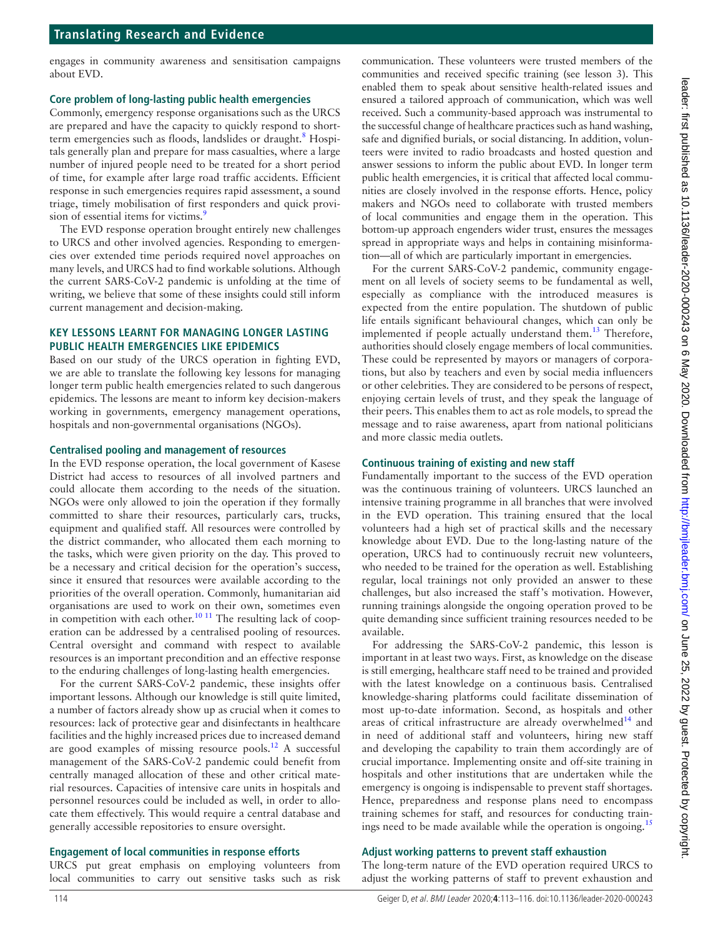## **Translating Research and Evidence**

engages in community awareness and sensitisation campaigns about EVD.

#### **Core problem of long-lasting public health emergencies**

Commonly, emergency response organisations such as the URCS are prepared and have the capacity to quickly respond to shortterm emergencies such as floods, landslides or draught.<sup>8</sup> Hospitals generally plan and prepare for mass casualties, where a large number of injured people need to be treated for a short period of time, for example after large road traffic accidents. Efficient response in such emergencies requires rapid assessment, a sound triage, timely mobilisation of first responders and quick provision of essential items for victims.<sup>9</sup>

The EVD response operation brought entirely new challenges to URCS and other involved agencies. Responding to emergencies over extended time periods required novel approaches on many levels, and URCS had to find workable solutions. Although the current SARS-CoV-2 pandemic is unfolding at the time of writing, we believe that some of these insights could still inform current management and decision-making.

#### **Key lessons learnt for managing longer lasting public health emergencies like epidemics**

Based on our study of the URCS operation in fighting EVD, we are able to translate the following key lessons for managing longer term public health emergencies related to such dangerous epidemics. The lessons are meant to inform key decision-makers working in governments, emergency management operations, hospitals and non-governmental organisations (NGOs).

#### **Centralised pooling and management of resources**

In the EVD response operation, the local government of Kasese District had access to resources of all involved partners and could allocate them according to the needs of the situation. NGOs were only allowed to join the operation if they formally committed to share their resources, particularly cars, trucks, equipment and qualified staff. All resources were controlled by the district commander, who allocated them each morning to the tasks, which were given priority on the day. This proved to be a necessary and critical decision for the operation's success, since it ensured that resources were available according to the priorities of the overall operation. Commonly, humanitarian aid organisations are used to work on their own, sometimes even in competition with each other.<sup>[10 11](#page-3-9)</sup> The resulting lack of cooperation can be addressed by a centralised pooling of resources. Central oversight and command with respect to available resources is an important precondition and an effective response to the enduring challenges of long-lasting health emergencies.

For the current SARS-CoV-2 pandemic, these insights offer important lessons. Although our knowledge is still quite limited, a number of factors already show up as crucial when it comes to resources: lack of protective gear and disinfectants in healthcare facilities and the highly increased prices due to increased demand are good examples of missing resource pools.<sup>12</sup> A successful management of the SARS-CoV-2 pandemic could benefit from centrally managed allocation of these and other critical material resources. Capacities of intensive care units in hospitals and personnel resources could be included as well, in order to allocate them effectively. This would require a central database and generally accessible repositories to ensure oversight.

#### **Engagement of local communities in response efforts**

URCS put great emphasis on employing volunteers from local communities to carry out sensitive tasks such as risk

communication. These volunteers were trusted members of the communities and received specific training (see lesson 3). This enabled them to speak about sensitive health-related issues and ensured a tailored approach of communication, which was well received. Such a community-based approach was instrumental to the successful change of healthcare practices such as hand washing, safe and dignified burials, or social distancing. In addition, volunteers were invited to radio broadcasts and hosted question and answer sessions to inform the public about EVD. In longer term public health emergencies, it is critical that affected local communities are closely involved in the response efforts. Hence, policy makers and NGOs need to collaborate with trusted members of local communities and engage them in the operation. This bottom-up approach engenders wider trust, ensures the messages spread in appropriate ways and helps in containing misinformation—all of which are particularly important in emergencies.

For the current SARS-CoV-2 pandemic, community engagement on all levels of society seems to be fundamental as well, especially as compliance with the introduced measures is expected from the entire population. The shutdown of public life entails significant behavioural changes, which can only be implemented if people actually understand them.<sup>13</sup> Therefore, authorities should closely engage members of local communities. These could be represented by mayors or managers of corporations, but also by teachers and even by social media influencers or other celebrities. They are considered to be persons of respect, enjoying certain levels of trust, and they speak the language of their peers. This enables them to act as role models, to spread the message and to raise awareness, apart from national politicians and more classic media outlets.

#### **Continuous training of existing and new staff**

Fundamentally important to the success of the EVD operation was the continuous training of volunteers. URCS launched an intensive training programme in all branches that were involved in the EVD operation. This training ensured that the local volunteers had a high set of practical skills and the necessary knowledge about EVD. Due to the long-lasting nature of the operation, URCS had to continuously recruit new volunteers, who needed to be trained for the operation as well. Establishing regular, local trainings not only provided an answer to these challenges, but also increased the staff's motivation. However, running trainings alongside the ongoing operation proved to be quite demanding since sufficient training resources needed to be available.

For addressing the SARS-CoV-2 pandemic, this lesson is important in at least two ways. First, as knowledge on the disease is still emerging, healthcare staff need to be trained and provided with the latest knowledge on a continuous basis. Centralised knowledge-sharing platforms could facilitate dissemination of most up-to-date information. Second, as hospitals and other areas of critical infrastructure are already overwhelmed $14$  and in need of additional staff and volunteers, hiring new staff and developing the capability to train them accordingly are of crucial importance. Implementing onsite and off-site training in hospitals and other institutions that are undertaken while the emergency is ongoing is indispensable to prevent staff shortages. Hence, preparedness and response plans need to encompass training schemes for staff, and resources for conducting train-ings need to be made available while the operation is ongoing.<sup>[15](#page-3-13)</sup>

#### **Adjust working patterns to prevent staff exhaustion**

The long-term nature of the EVD operation required URCS to adjust the working patterns of staff to prevent exhaustion and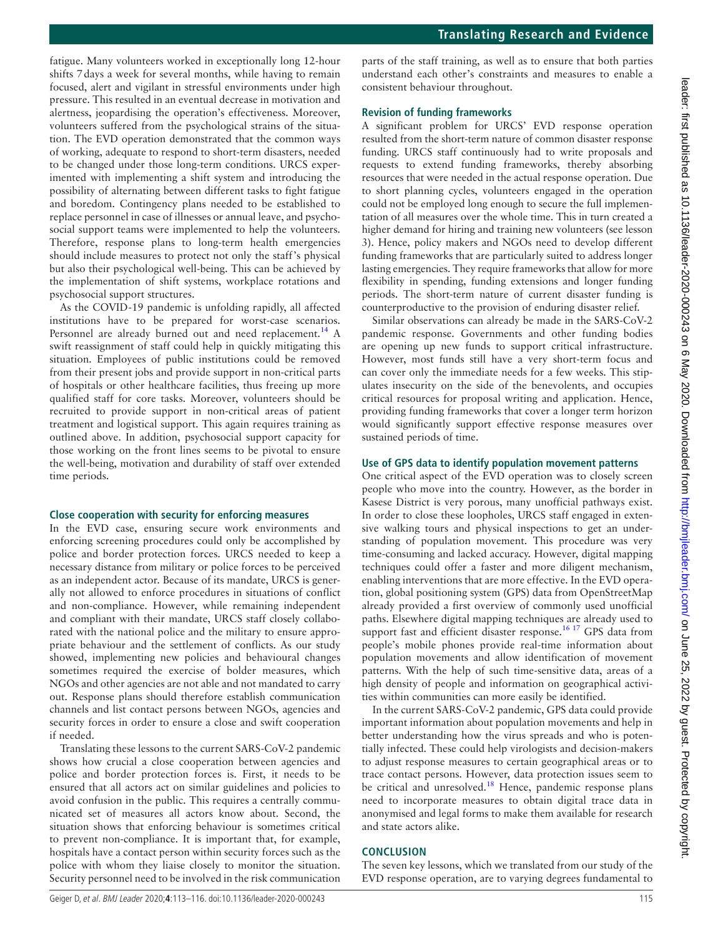fatigue. Many volunteers worked in exceptionally long 12-hour shifts 7days a week for several months, while having to remain focused, alert and vigilant in stressful environments under high pressure. This resulted in an eventual decrease in motivation and alertness, jeopardising the operation's effectiveness. Moreover, volunteers suffered from the psychological strains of the situation. The EVD operation demonstrated that the common ways of working, adequate to respond to short-term disasters, needed to be changed under those long-term conditions. URCS experimented with implementing a shift system and introducing the possibility of alternating between different tasks to fight fatigue and boredom. Contingency plans needed to be established to replace personnel in case of illnesses or annual leave, and psychosocial support teams were implemented to help the volunteers. Therefore, response plans to long-term health emergencies should include measures to protect not only the staff's physical but also their psychological well-being. This can be achieved by the implementation of shift systems, workplace rotations and psychosocial support structures.

As the COVID-19 pandemic is unfolding rapidly, all affected institutions have to be prepared for worst-case scenarios. Personnel are already burned out and need replacement.<sup>[14](#page-3-12)</sup> A swift reassignment of staff could help in quickly mitigating this situation. Employees of public institutions could be removed from their present jobs and provide support in non-critical parts of hospitals or other healthcare facilities, thus freeing up more qualified staff for core tasks. Moreover, volunteers should be recruited to provide support in non-critical areas of patient treatment and logistical support. This again requires training as outlined above. In addition, psychosocial support capacity for those working on the front lines seems to be pivotal to ensure the well-being, motivation and durability of staff over extended time periods.

## **Close cooperation with security for enforcing measures**

In the EVD case, ensuring secure work environments and enforcing screening procedures could only be accomplished by police and border protection forces. URCS needed to keep a necessary distance from military or police forces to be perceived as an independent actor. Because of its mandate, URCS is generally not allowed to enforce procedures in situations of conflict and non-compliance. However, while remaining independent and compliant with their mandate, URCS staff closely collaborated with the national police and the military to ensure appropriate behaviour and the settlement of conflicts. As our study showed, implementing new policies and behavioural changes sometimes required the exercise of bolder measures, which NGOs and other agencies are not able and not mandated to carry out. Response plans should therefore establish communication channels and list contact persons between NGOs, agencies and security forces in order to ensure a close and swift cooperation if needed.

Translating these lessons to the current SARS-CoV-2 pandemic shows how crucial a close cooperation between agencies and police and border protection forces is. First, it needs to be ensured that all actors act on similar guidelines and policies to avoid confusion in the public. This requires a centrally communicated set of measures all actors know about. Second, the situation shows that enforcing behaviour is sometimes critical to prevent non-compliance. It is important that, for example, hospitals have a contact person within security forces such as the police with whom they liaise closely to monitor the situation. Security personnel need to be involved in the risk communication

parts of the staff training, as well as to ensure that both parties understand each other's constraints and measures to enable a consistent behaviour throughout.

## **Revision of funding frameworks**

A significant problem for URCS' EVD response operation resulted from the short-term nature of common disaster response funding. URCS staff continuously had to write proposals and requests to extend funding frameworks, thereby absorbing resources that were needed in the actual response operation. Due to short planning cycles, volunteers engaged in the operation could not be employed long enough to secure the full implementation of all measures over the whole time. This in turn created a higher demand for hiring and training new volunteers (see lesson 3). Hence, policy makers and NGOs need to develop different funding frameworks that are particularly suited to address longer lasting emergencies. They require frameworks that allow for more flexibility in spending, funding extensions and longer funding periods. The short-term nature of current disaster funding is counterproductive to the provision of enduring disaster relief.

Similar observations can already be made in the SARS-CoV-2 pandemic response. Governments and other funding bodies are opening up new funds to support critical infrastructure. However, most funds still have a very short-term focus and can cover only the immediate needs for a few weeks. This stipulates insecurity on the side of the benevolents, and occupies critical resources for proposal writing and application. Hence, providing funding frameworks that cover a longer term horizon would significantly support effective response measures over sustained periods of time.

## **Use of GPS data to identify population movement patterns**

One critical aspect of the EVD operation was to closely screen people who move into the country. However, as the border in Kasese District is very porous, many unofficial pathways exist. In order to close these loopholes, URCS staff engaged in extensive walking tours and physical inspections to get an understanding of population movement. This procedure was very time-consuming and lacked accuracy. However, digital mapping techniques could offer a faster and more diligent mechanism, enabling interventions that are more effective. In the EVD operation, global positioning system (GPS) data from OpenStreetMap already provided a first overview of commonly used unofficial paths. Elsewhere digital mapping techniques are already used to support fast and efficient disaster response.<sup>16 17</sup> GPS data from people's mobile phones provide real-time information about population movements and allow identification of movement patterns. With the help of such time-sensitive data, areas of a high density of people and information on geographical activities within communities can more easily be identified.

In the current SARS-CoV-2 pandemic, GPS data could provide important information about population movements and help in better understanding how the virus spreads and who is potentially infected. These could help virologists and decision-makers to adjust response measures to certain geographical areas or to trace contact persons. However, data protection issues seem to be critical and unresolved.<sup>18</sup> Hence, pandemic response plans need to incorporate measures to obtain digital trace data in anonymised and legal forms to make them available for research and state actors alike.

### **Conclusion**

The seven key lessons, which we translated from our study of the EVD response operation, are to varying degrees fundamental to